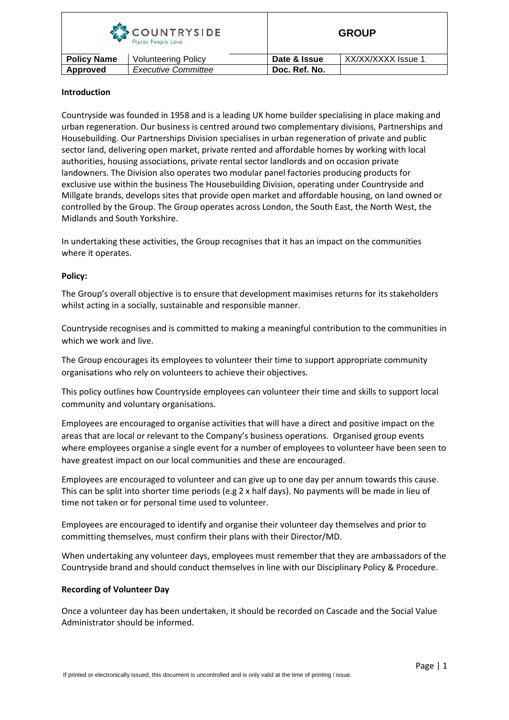| COUNTRYSIDE<br>Places People Love |                            |               | <b>GROUP</b>       |  |
|-----------------------------------|----------------------------|---------------|--------------------|--|
| <b>Policy Name</b>                | <b>Volunteering Policy</b> | Date & Issue  | XX/XX/XXXX Issue 1 |  |
| Approved                          | <b>Executive Committee</b> | Doc. Ref. No. |                    |  |

# **Introduction**

Countryside was founded in 1958 and is a leading UK home builder specialising in place making and urban regeneration. Our business is centred around two complementary divisions, Partnerships and Housebuilding. Our Partnerships Division specialises in urban regeneration of private and public sector land, delivering open market, private rented and affordable homes by working with local authorities, housing associations, private rental sector landlords and on occasion private landowners. The Division also operates two modular panel factories producing products for exclusive use within the business The Housebuilding Division, operating under Countryside and Millgate brands, develops sites that provide open market and affordable housing, on land owned or controlled by the Group. The Group operates across London, the South East, the North West, the Midlands and South Yorkshire.

In undertaking these activities, the Group recognises that it has an impact on the communities where it operates.

# **Policy:**

The Group's overall objective is to ensure that development maximises returns for its stakeholders whilst acting in a socially, sustainable and responsible manner.

Countryside recognises and is committed to making a meaningful contribution to the communities in which we work and live.

The Group encourages its employees to volunteer their time to support appropriate community organisations who rely on volunteers to achieve their objectives.

This policy outlines how Countryside employees can volunteer their time and skills to support local community and voluntary organisations.

Employees are encouraged to organise activities that will have a direct and positive impact on the areas that are local or relevant to the Company's business operations. Organised group events where employees organise a single event for a number of employees to volunteer have been seen to have greatest impact on our local communities and these are encouraged.

Employees are encouraged to volunteer and can give up to one day per annum towards this cause. This can be split into shorter time periods (e.g 2 x half days). No payments will be made in lieu of time not taken or for personal time used to volunteer.

Employees are encouraged to identify and organise their volunteer day themselves and prior to committing themselves, must confirm their plans with their Director/MD.

When undertaking any volunteer days, employees must remember that they are ambassadors of the Countryside brand and should conduct themselves in line with our Disciplinary Policy & Procedure.

### **Recording of Volunteer Day**

Once a volunteer day has been undertaken, it should be recorded on Cascade and the Social Value Administrator should be informed.